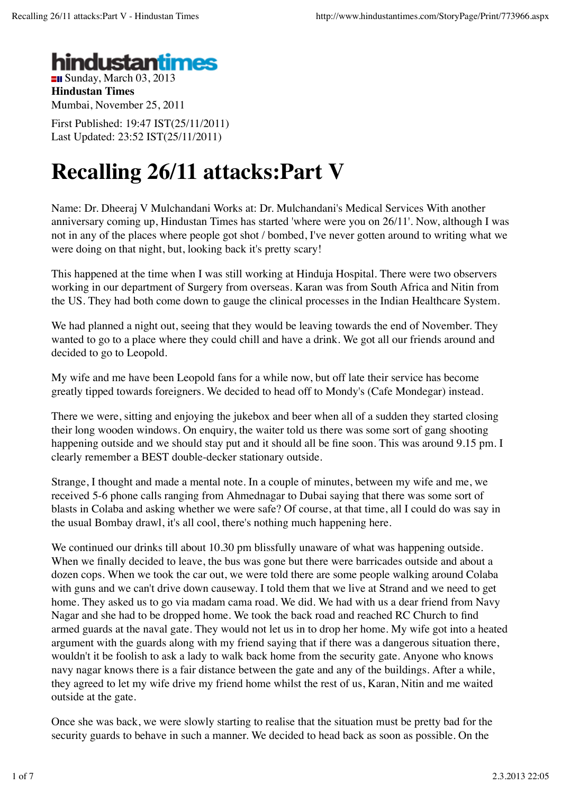

**Hindustan Times** Mumbai, November 25, 2011

First Published: 19:47 IST(25/11/2011) Last Updated: 23:52 IST(25/11/2011)

## **Recalling 26/11 attacks:Part V**

Name: Dr. Dheeraj V Mulchandani Works at: Dr. Mulchandani's Medical Services With another anniversary coming up, Hindustan Times has started 'where were you on 26/11'. Now, although I was not in any of the places where people got shot / bombed, I've never gotten around to writing what we were doing on that night, but, looking back it's pretty scary!

This happened at the time when I was still working at Hinduja Hospital. There were two observers working in our department of Surgery from overseas. Karan was from South Africa and Nitin from the US. They had both come down to gauge the clinical processes in the Indian Healthcare System.

We had planned a night out, seeing that they would be leaving towards the end of November. They wanted to go to a place where they could chill and have a drink. We got all our friends around and decided to go to Leopold.

My wife and me have been Leopold fans for a while now, but off late their service has become greatly tipped towards foreigners. We decided to head off to Mondy's (Cafe Mondegar) instead.

There we were, sitting and enjoying the jukebox and beer when all of a sudden they started closing their long wooden windows. On enquiry, the waiter told us there was some sort of gang shooting happening outside and we should stay put and it should all be fine soon. This was around 9.15 pm. I clearly remember a BEST double-decker stationary outside.

Strange, I thought and made a mental note. In a couple of minutes, between my wife and me, we received 5-6 phone calls ranging from Ahmednagar to Dubai saying that there was some sort of blasts in Colaba and asking whether we were safe? Of course, at that time, all I could do was say in the usual Bombay drawl, it's all cool, there's nothing much happening here.

We continued our drinks till about 10.30 pm blissfully unaware of what was happening outside. When we finally decided to leave, the bus was gone but there were barricades outside and about a dozen cops. When we took the car out, we were told there are some people walking around Colaba with guns and we can't drive down causeway. I told them that we live at Strand and we need to get home. They asked us to go via madam cama road. We did. We had with us a dear friend from Navy Nagar and she had to be dropped home. We took the back road and reached RC Church to find armed guards at the naval gate. They would not let us in to drop her home. My wife got into a heated argument with the guards along with my friend saying that if there was a dangerous situation there, wouldn't it be foolish to ask a lady to walk back home from the security gate. Anyone who knows navy nagar knows there is a fair distance between the gate and any of the buildings. After a while, they agreed to let my wife drive my friend home whilst the rest of us, Karan, Nitin and me waited outside at the gate.

Once she was back, we were slowly starting to realise that the situation must be pretty bad for the security guards to behave in such a manner. We decided to head back as soon as possible. On the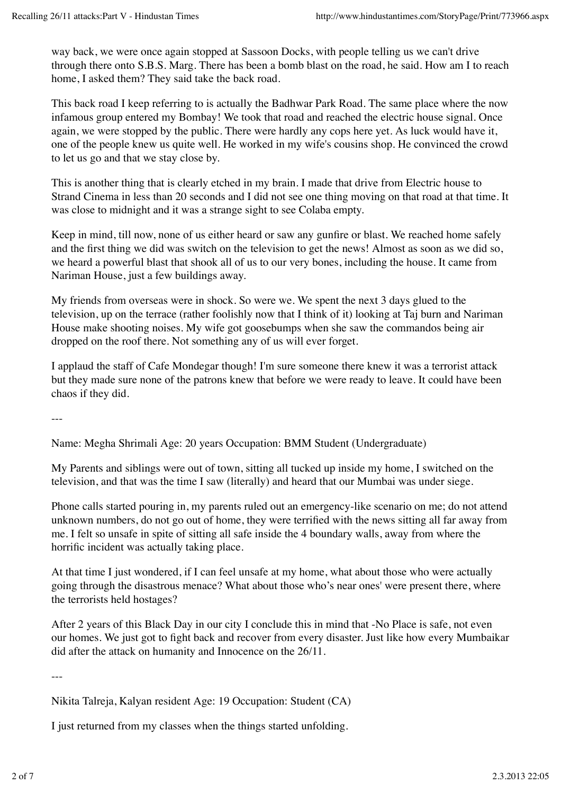way back, we were once again stopped at Sassoon Docks, with people telling us we can't drive through there onto S.B.S. Marg. There has been a bomb blast on the road, he said. How am I to reach home, I asked them? They said take the back road.

This back road I keep referring to is actually the Badhwar Park Road. The same place where the now infamous group entered my Bombay! We took that road and reached the electric house signal. Once again, we were stopped by the public. There were hardly any cops here yet. As luck would have it, one of the people knew us quite well. He worked in my wife's cousins shop. He convinced the crowd to let us go and that we stay close by.

This is another thing that is clearly etched in my brain. I made that drive from Electric house to Strand Cinema in less than 20 seconds and I did not see one thing moving on that road at that time. It was close to midnight and it was a strange sight to see Colaba empty.

Keep in mind, till now, none of us either heard or saw any gunfire or blast. We reached home safely and the first thing we did was switch on the television to get the news! Almost as soon as we did so, we heard a powerful blast that shook all of us to our very bones, including the house. It came from Nariman House, just a few buildings away.

My friends from overseas were in shock. So were we. We spent the next 3 days glued to the television, up on the terrace (rather foolishly now that I think of it) looking at Taj burn and Nariman House make shooting noises. My wife got goosebumps when she saw the commandos being air dropped on the roof there. Not something any of us will ever forget.

I applaud the staff of Cafe Mondegar though! I'm sure someone there knew it was a terrorist attack but they made sure none of the patrons knew that before we were ready to leave. It could have been chaos if they did.

---

Name: Megha Shrimali Age: 20 years Occupation: BMM Student (Undergraduate)

My Parents and siblings were out of town, sitting all tucked up inside my home, I switched on the television, and that was the time I saw (literally) and heard that our Mumbai was under siege.

Phone calls started pouring in, my parents ruled out an emergency-like scenario on me; do not attend unknown numbers, do not go out of home, they were terrified with the news sitting all far away from me. I felt so unsafe in spite of sitting all safe inside the 4 boundary walls, away from where the horrific incident was actually taking place.

At that time I just wondered, if I can feel unsafe at my home, what about those who were actually going through the disastrous menace? What about those who's near ones' were present there, where the terrorists held hostages?

After 2 years of this Black Day in our city I conclude this in mind that -No Place is safe, not even our homes. We just got to fight back and recover from every disaster. Just like how every Mumbaikar did after the attack on humanity and Innocence on the 26/11.

---

Nikita Talreja, Kalyan resident Age: 19 Occupation: Student (CA)

I just returned from my classes when the things started unfolding.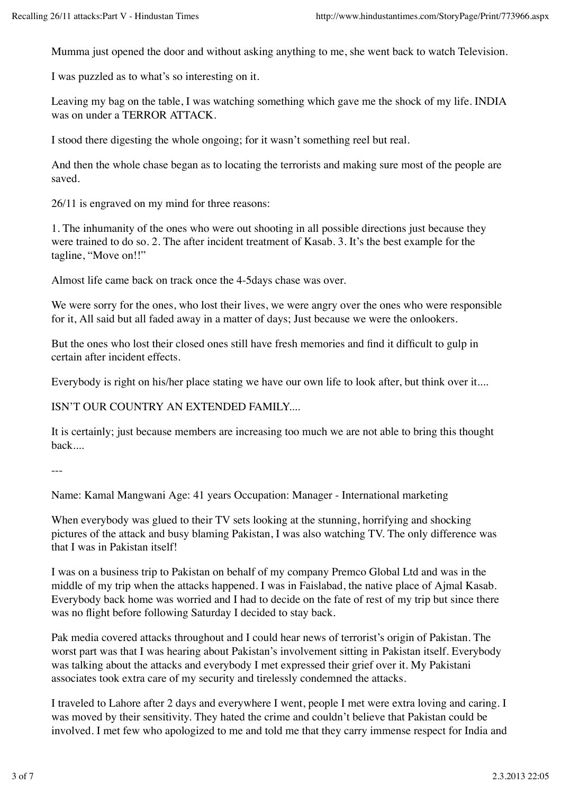Mumma just opened the door and without asking anything to me, she went back to watch Television.

I was puzzled as to what's so interesting on it.

Leaving my bag on the table, I was watching something which gave me the shock of my life. INDIA was on under a TERROR ATTACK.

I stood there digesting the whole ongoing; for it wasn't something reel but real.

And then the whole chase began as to locating the terrorists and making sure most of the people are saved.

26/11 is engraved on my mind for three reasons:

1. The inhumanity of the ones who were out shooting in all possible directions just because they were trained to do so. 2. The after incident treatment of Kasab. 3. It's the best example for the tagline, "Move on!!"

Almost life came back on track once the 4-5days chase was over.

We were sorry for the ones, who lost their lives, we were angry over the ones who were responsible for it, All said but all faded away in a matter of days; Just because we were the onlookers.

But the ones who lost their closed ones still have fresh memories and find it difficult to gulp in certain after incident effects.

Everybody is right on his/her place stating we have our own life to look after, but think over it....

ISN'T OUR COUNTRY AN EXTENDED FAMILY....

It is certainly; just because members are increasing too much we are not able to bring this thought back....

---

Name: Kamal Mangwani Age: 41 years Occupation: Manager - International marketing

When everybody was glued to their TV sets looking at the stunning, horrifying and shocking pictures of the attack and busy blaming Pakistan, I was also watching TV. The only difference was that I was in Pakistan itself!

I was on a business trip to Pakistan on behalf of my company Premco Global Ltd and was in the middle of my trip when the attacks happened. I was in Faislabad, the native place of Ajmal Kasab. Everybody back home was worried and I had to decide on the fate of rest of my trip but since there was no flight before following Saturday I decided to stay back.

Pak media covered attacks throughout and I could hear news of terrorist's origin of Pakistan. The worst part was that I was hearing about Pakistan's involvement sitting in Pakistan itself. Everybody was talking about the attacks and everybody I met expressed their grief over it. My Pakistani associates took extra care of my security and tirelessly condemned the attacks.

I traveled to Lahore after 2 days and everywhere I went, people I met were extra loving and caring. I was moved by their sensitivity. They hated the crime and couldn't believe that Pakistan could be involved. I met few who apologized to me and told me that they carry immense respect for India and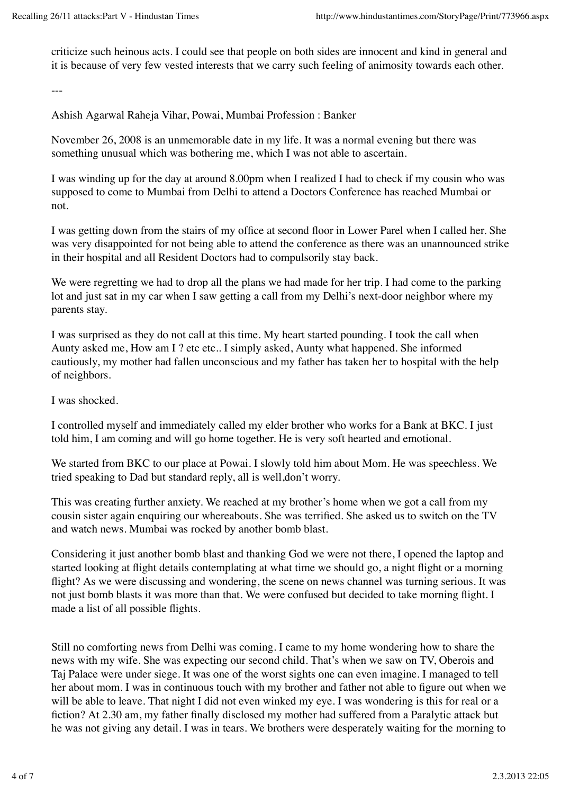criticize such heinous acts. I could see that people on both sides are innocent and kind in general and it is because of very few vested interests that we carry such feeling of animosity towards each other.

---

Ashish Agarwal Raheja Vihar, Powai, Mumbai Profession : Banker

November 26, 2008 is an unmemorable date in my life. It was a normal evening but there was something unusual which was bothering me, which I was not able to ascertain.

I was winding up for the day at around 8.00pm when I realized I had to check if my cousin who was supposed to come to Mumbai from Delhi to attend a Doctors Conference has reached Mumbai or not.

I was getting down from the stairs of my office at second floor in Lower Parel when I called her. She was very disappointed for not being able to attend the conference as there was an unannounced strike in their hospital and all Resident Doctors had to compulsorily stay back.

We were regretting we had to drop all the plans we had made for her trip. I had come to the parking lot and just sat in my car when I saw getting a call from my Delhi's next-door neighbor where my parents stay.

I was surprised as they do not call at this time. My heart started pounding. I took the call when Aunty asked me, How am I ? etc etc.. I simply asked, Aunty what happened. She informed cautiously, my mother had fallen unconscious and my father has taken her to hospital with the help of neighbors.

I was shocked.

I controlled myself and immediately called my elder brother who works for a Bank at BKC. I just told him, I am coming and will go home together. He is very soft hearted and emotional.

We started from BKC to our place at Powai. I slowly told him about Mom. He was speechless. We tried speaking to Dad but standard reply, all is well,don't worry.

This was creating further anxiety. We reached at my brother's home when we got a call from my cousin sister again enquiring our whereabouts. She was terrified. She asked us to switch on the TV and watch news. Mumbai was rocked by another bomb blast.

Considering it just another bomb blast and thanking God we were not there, I opened the laptop and started looking at flight details contemplating at what time we should go, a night flight or a morning flight? As we were discussing and wondering, the scene on news channel was turning serious. It was not just bomb blasts it was more than that. We were confused but decided to take morning flight. I made a list of all possible flights.

Still no comforting news from Delhi was coming. I came to my home wondering how to share the news with my wife. She was expecting our second child. That's when we saw on TV, Oberois and Taj Palace were under siege. It was one of the worst sights one can even imagine. I managed to tell her about mom. I was in continuous touch with my brother and father not able to figure out when we will be able to leave. That night I did not even winked my eye. I was wondering is this for real or a fiction? At 2.30 am, my father finally disclosed my mother had suffered from a Paralytic attack but he was not giving any detail. I was in tears. We brothers were desperately waiting for the morning to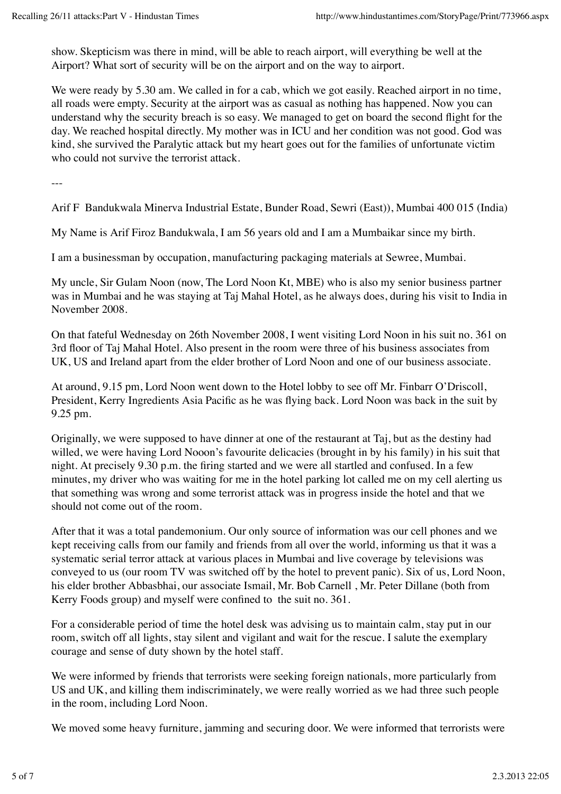show. Skepticism was there in mind, will be able to reach airport, will everything be well at the Airport? What sort of security will be on the airport and on the way to airport.

We were ready by 5.30 am. We called in for a cab, which we got easily. Reached airport in no time, all roads were empty. Security at the airport was as casual as nothing has happened. Now you can understand why the security breach is so easy. We managed to get on board the second flight for the day. We reached hospital directly. My mother was in ICU and her condition was not good. God was kind, she survived the Paralytic attack but my heart goes out for the families of unfortunate victim who could not survive the terrorist attack.

---

Arif F Bandukwala Minerva Industrial Estate, Bunder Road, Sewri (East)), Mumbai 400 015 (India)

My Name is Arif Firoz Bandukwala, I am 56 years old and I am a Mumbaikar since my birth.

I am a businessman by occupation, manufacturing packaging materials at Sewree, Mumbai.

My uncle, Sir Gulam Noon (now, The Lord Noon Kt, MBE) who is also my senior business partner was in Mumbai and he was staying at Taj Mahal Hotel, as he always does, during his visit to India in November 2008.

On that fateful Wednesday on 26th November 2008, I went visiting Lord Noon in his suit no. 361 on 3rd floor of Taj Mahal Hotel. Also present in the room were three of his business associates from UK, US and Ireland apart from the elder brother of Lord Noon and one of our business associate.

At around, 9.15 pm, Lord Noon went down to the Hotel lobby to see off Mr. Finbarr O'Driscoll, President, Kerry Ingredients Asia Pacific as he was flying back. Lord Noon was back in the suit by 9.25 pm.

Originally, we were supposed to have dinner at one of the restaurant at Taj, but as the destiny had willed, we were having Lord Nooon's favourite delicacies (brought in by his family) in his suit that night. At precisely 9.30 p.m. the firing started and we were all startled and confused. In a few minutes, my driver who was waiting for me in the hotel parking lot called me on my cell alerting us that something was wrong and some terrorist attack was in progress inside the hotel and that we should not come out of the room.

After that it was a total pandemonium. Our only source of information was our cell phones and we kept receiving calls from our family and friends from all over the world, informing us that it was a systematic serial terror attack at various places in Mumbai and live coverage by televisions was conveyed to us (our room TV was switched off by the hotel to prevent panic). Six of us, Lord Noon, his elder brother Abbasbhai, our associate Ismail, Mr. Bob Carnell , Mr. Peter Dillane (both from Kerry Foods group) and myself were confined to the suit no. 361.

For a considerable period of time the hotel desk was advising us to maintain calm, stay put in our room, switch off all lights, stay silent and vigilant and wait for the rescue. I salute the exemplary courage and sense of duty shown by the hotel staff.

We were informed by friends that terrorists were seeking foreign nationals, more particularly from US and UK, and killing them indiscriminately, we were really worried as we had three such people in the room, including Lord Noon.

We moved some heavy furniture, jamming and securing door. We were informed that terrorists were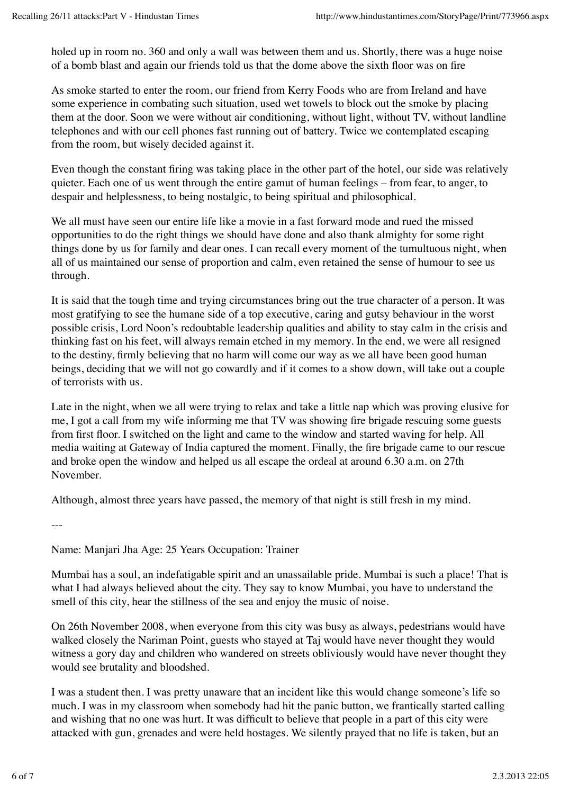holed up in room no. 360 and only a wall was between them and us. Shortly, there was a huge noise of a bomb blast and again our friends told us that the dome above the sixth floor was on fire

As smoke started to enter the room, our friend from Kerry Foods who are from Ireland and have some experience in combating such situation, used wet towels to block out the smoke by placing them at the door. Soon we were without air conditioning, without light, without TV, without landline telephones and with our cell phones fast running out of battery. Twice we contemplated escaping from the room, but wisely decided against it.

Even though the constant firing was taking place in the other part of the hotel, our side was relatively quieter. Each one of us went through the entire gamut of human feelings – from fear, to anger, to despair and helplessness, to being nostalgic, to being spiritual and philosophical.

We all must have seen our entire life like a movie in a fast forward mode and rued the missed opportunities to do the right things we should have done and also thank almighty for some right things done by us for family and dear ones. I can recall every moment of the tumultuous night, when all of us maintained our sense of proportion and calm, even retained the sense of humour to see us through.

It is said that the tough time and trying circumstances bring out the true character of a person. It was most gratifying to see the humane side of a top executive, caring and gutsy behaviour in the worst possible crisis, Lord Noon's redoubtable leadership qualities and ability to stay calm in the crisis and thinking fast on his feet, will always remain etched in my memory. In the end, we were all resigned to the destiny, firmly believing that no harm will come our way as we all have been good human beings, deciding that we will not go cowardly and if it comes to a show down, will take out a couple of terrorists with us.

Late in the night, when we all were trying to relax and take a little nap which was proving elusive for me, I got a call from my wife informing me that TV was showing fire brigade rescuing some guests from first floor. I switched on the light and came to the window and started waving for help. All media waiting at Gateway of India captured the moment. Finally, the fire brigade came to our rescue and broke open the window and helped us all escape the ordeal at around 6.30 a.m. on 27th November.

Although, almost three years have passed, the memory of that night is still fresh in my mind.

---

Name: Manjari Jha Age: 25 Years Occupation: Trainer

Mumbai has a soul, an indefatigable spirit and an unassailable pride. Mumbai is such a place! That is what I had always believed about the city. They say to know Mumbai, you have to understand the smell of this city, hear the stillness of the sea and enjoy the music of noise.

On 26th November 2008, when everyone from this city was busy as always, pedestrians would have walked closely the Nariman Point, guests who stayed at Taj would have never thought they would witness a gory day and children who wandered on streets obliviously would have never thought they would see brutality and bloodshed.

I was a student then. I was pretty unaware that an incident like this would change someone's life so much. I was in my classroom when somebody had hit the panic button, we frantically started calling and wishing that no one was hurt. It was difficult to believe that people in a part of this city were attacked with gun, grenades and were held hostages. We silently prayed that no life is taken, but an